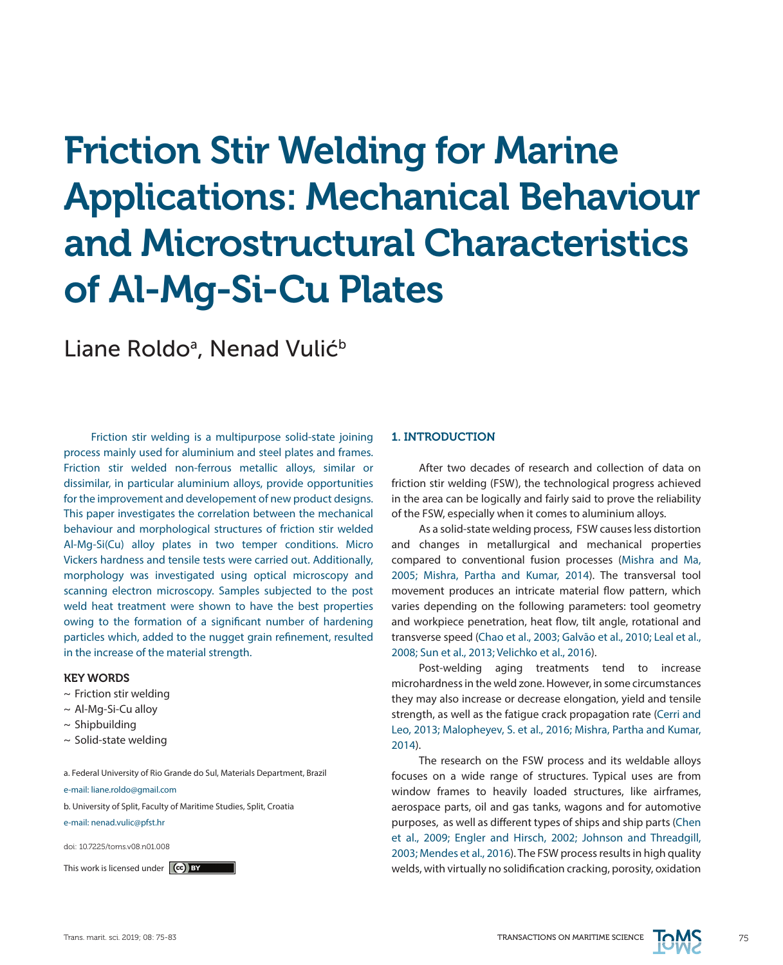# Friction Stir Welding for Marine Applications: Mechanical Behaviour and Microstructural Characteristics of Al-Mg-Si-Cu Plates

Liane Roldo<sup>a</sup>, Nenad Vulić<sup>b</sup>

Friction stir welding is a multipurpose solid-state joining process mainly used for aluminium and steel plates and frames. Friction stir welded non-ferrous metallic alloys, similar or dissimilar, in particular aluminium alloys, provide opportunities for the improvement and developement of new product designs. This paper investigates the correlation between the mechanical behaviour and morphological structures of friction stir welded Al-Mg-Si(Cu) alloy plates in two temper conditions. Micro Vickers hardness and tensile tests were carried out. Additionally, morphology was investigated using optical microscopy and scanning electron microscopy. Samples subjected to the post weld heat treatment were shown to have the best properties owing to the formation of a significant number of hardening particles which, added to the nugget grain refinement, resulted in the increase of the material strength.

#### KEY WORDS

- $\sim$  Friction stir welding
- ~ Al-Mg-Si-Cu alloy
- $\sim$  Shipbuilding
- $\sim$  Solid-state welding

a. Federal University of Rio Grande do Sul, Materials Department, Brazil

e-mail: liane.roldo@gmail.com

b. University of Split, Faculty of Maritime Studies, Split, Croatia

e-mail: nenad.vulic@pfst.hr

doi: 10.7225/toms.v08.n01.008

#### 1. INTRODUCTION

After two decades of research and collection of data on friction stir welding (FSW), the technological progress achieved in the area can be logically and fairly said to prove the reliability of the FSW, especially when it comes to aluminium alloys.

As a solid-state welding process, FSW causes less distortion and changes in metallurgical and mechanical properties compared to conventional fusion processes (Mishra and Ma, 2005; Mishra, Partha and Kumar, 2014). The transversal tool movement produces an intricate material flow pattern, which varies depending on the following parameters: tool geometry and workpiece penetration, heat flow, tilt angle, rotational and transverse speed (Chao et al., 2003; Galvão et al., 2010; Leal et al., 2008; Sun et al., 2013; Velichko et al., 2016).

Post-welding aging treatments tend to increase microhardness in the weld zone. However, in some circumstances they may also increase or decrease elongation, yield and tensile strength, as well as the fatigue crack propagation rate (Cerri and Leo, 2013; Malopheyev, S. et al., 2016; Mishra, Partha and Kumar, 2014).

The research on the FSW process and its weldable alloys focuses on a wide range of structures. Typical uses are from window frames to heavily loaded structures, like airframes, aerospace parts, oil and gas tanks, wagons and for automotive purposes, as well as different types of ships and ship parts (Chen et al., 2009; Engler and Hirsch, 2002; Johnson and Threadgill, 2003; Mendes et al., 2016). The FSW process results in high quality This work is licensed under  $\ket{\mathbf{c}}$  by the set of the welds, with virtually no solidification cracking, porosity, oxidation

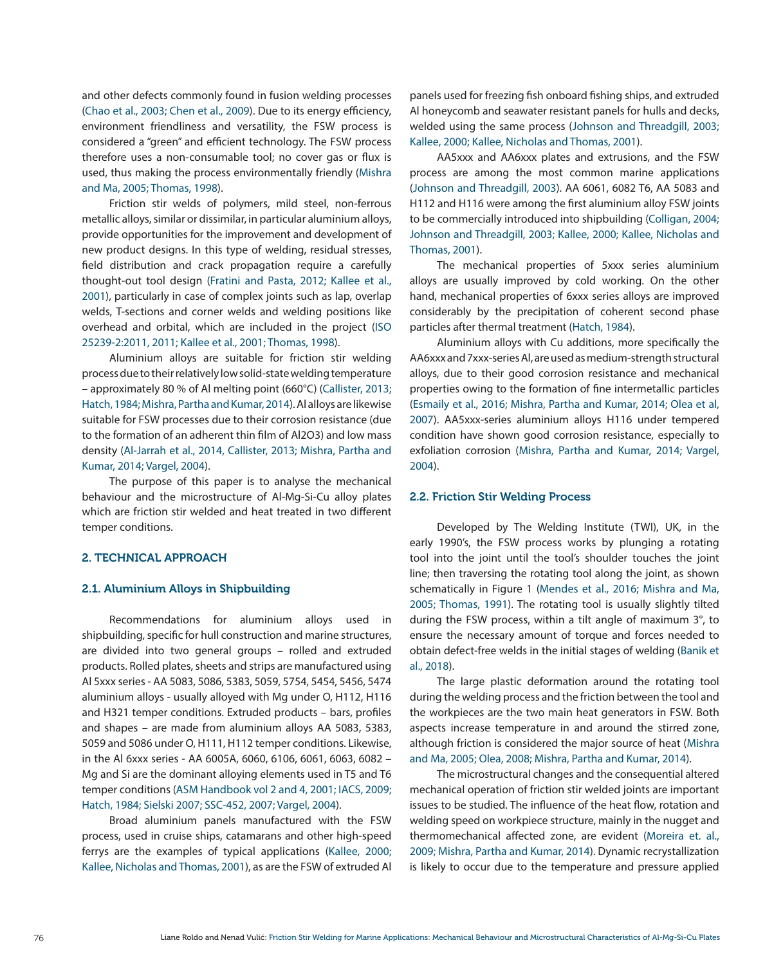and other defects commonly found in fusion welding processes (Chao et al., 2003; Chen et al., 2009). Due to its energy efficiency, environment friendliness and versatility, the FSW process is considered a "green" and efficient technology. The FSW process therefore uses a non-consumable tool; no cover gas or flux is used, thus making the process environmentally friendly (Mishra and Ma, 2005; Thomas, 1998).

Friction stir welds of polymers, mild steel, non-ferrous metallic alloys, similar or dissimilar, in particular aluminium alloys, provide opportunities for the improvement and development of new product designs. In this type of welding, residual stresses, field distribution and crack propagation require a carefully thought-out tool design (Fratini and Pasta, 2012; Kallee et al., 2001), particularly in case of complex joints such as lap, overlap welds, T-sections and corner welds and welding positions like overhead and orbital, which are included in the project (ISO 25239-2:2011, 2011; Kallee et al., 2001; Thomas, 1998).

Aluminium alloys are suitable for friction stir welding process due to their relatively low solid-state welding temperature – approximately 80 % of Al melting point (660°C) (Callister, 2013; Hatch, 1984; Mishra, Partha and Kumar, 2014). Al alloys are likewise suitable for FSW processes due to their corrosion resistance (due to the formation of an adherent thin film of Al2O3) and low mass density (Al-Jarrah et al., 2014, Callister, 2013; Mishra, Partha and Kumar, 2014; Vargel, 2004).

The purpose of this paper is to analyse the mechanical behaviour and the microstructure of Al-Mg-Si-Cu alloy plates which are friction stir welded and heat treated in two different temper conditions.

## 2. TECHNICAL APPROACH

#### 2.1. Aluminium Alloys in Shipbuilding

Recommendations for aluminium alloys used in shipbuilding, specific for hull construction and marine structures, are divided into two general groups – rolled and extruded products. Rolled plates, sheets and strips are manufactured using Al 5xxx series - AA 5083, 5086, 5383, 5059, 5754, 5454, 5456, 5474 aluminium alloys - usually alloyed with Mg under O, H112, H116 and H321 temper conditions. Extruded products – bars, profiles and shapes – are made from aluminium alloys AA 5083, 5383, 5059 and 5086 under O, H111, H112 temper conditions. Likewise, in the Al 6xxx series - AA 6005A, 6060, 6106, 6061, 6063, 6082 – Mg and Si are the dominant alloying elements used in T5 and T6 temper conditions (ASM Handbook vol 2 and 4, 2001; IACS, 2009; Hatch, 1984; Sielski 2007; SSC-452, 2007; Vargel, 2004).

Broad aluminium panels manufactured with the FSW process, used in cruise ships, catamarans and other high-speed ferrys are the examples of typical applications (Kallee, 2000; Kallee, Nicholas and Thomas, 2001), as are the FSW of extruded Al panels used for freezing fish onboard fishing ships, and extruded Al honeycomb and seawater resistant panels for hulls and decks, welded using the same process (Johnson and Threadgill, 2003; Kallee, 2000; Kallee, Nicholas and Thomas, 2001).

AA5xxx and AA6xxx plates and extrusions, and the FSW process are among the most common marine applications (Johnson and Threadgill, 2003). AA 6061, 6082 T6, AA 5083 and H112 and H116 were among the first aluminium alloy FSW joints to be commercially introduced into shipbuilding (Colligan, 2004; Johnson and Threadgill, 2003; Kallee, 2000; Kallee, Nicholas and Thomas, 2001).

The mechanical properties of 5xxx series aluminium alloys are usually improved by cold working. On the other hand, mechanical properties of 6xxx series alloys are improved considerably by the precipitation of coherent second phase particles after thermal treatment (Hatch, 1984).

Aluminium alloys with Cu additions, more specifically the AA6xxx and 7xxx-series Al, are used as medium-strength structural alloys, due to their good corrosion resistance and mechanical properties owing to the formation of fine intermetallic particles (Esmaily et al., 2016; Mishra, Partha and Kumar, 2014; Olea et al, 2007). AA5xxx-series aluminium alloys H116 under tempered condition have shown good corrosion resistance, especially to exfoliation corrosion (Mishra, Partha and Kumar, 2014; Vargel, 2004).

#### 2.2. Friction Stir Welding Process

Developed by The Welding Institute (TWI), UK, in the early 1990's, the FSW process works by plunging a rotating tool into the joint until the tool's shoulder touches the joint line; then traversing the rotating tool along the joint, as shown schematically in Figure 1 (Mendes et al., 2016; Mishra and Ma, 2005; Thomas, 1991). The rotating tool is usually slightly tilted during the FSW process, within a tilt angle of maximum 3°, to ensure the necessary amount of torque and forces needed to obtain defect-free welds in the initial stages of welding (Banik et al., 2018).

The large plastic deformation around the rotating tool during the welding process and the friction between the tool and the workpieces are the two main heat generators in FSW. Both aspects increase temperature in and around the stirred zone, although friction is considered the major source of heat (Mishra and Ma, 2005; Olea, 2008; Mishra, Partha and Kumar, 2014).

The microstructural changes and the consequential altered mechanical operation of friction stir welded joints are important issues to be studied. The influence of the heat flow, rotation and welding speed on workpiece structure, mainly in the nugget and thermomechanical affected zone, are evident (Moreira et. al., 2009; Mishra, Partha and Kumar, 2014). Dynamic recrystallization is likely to occur due to the temperature and pressure applied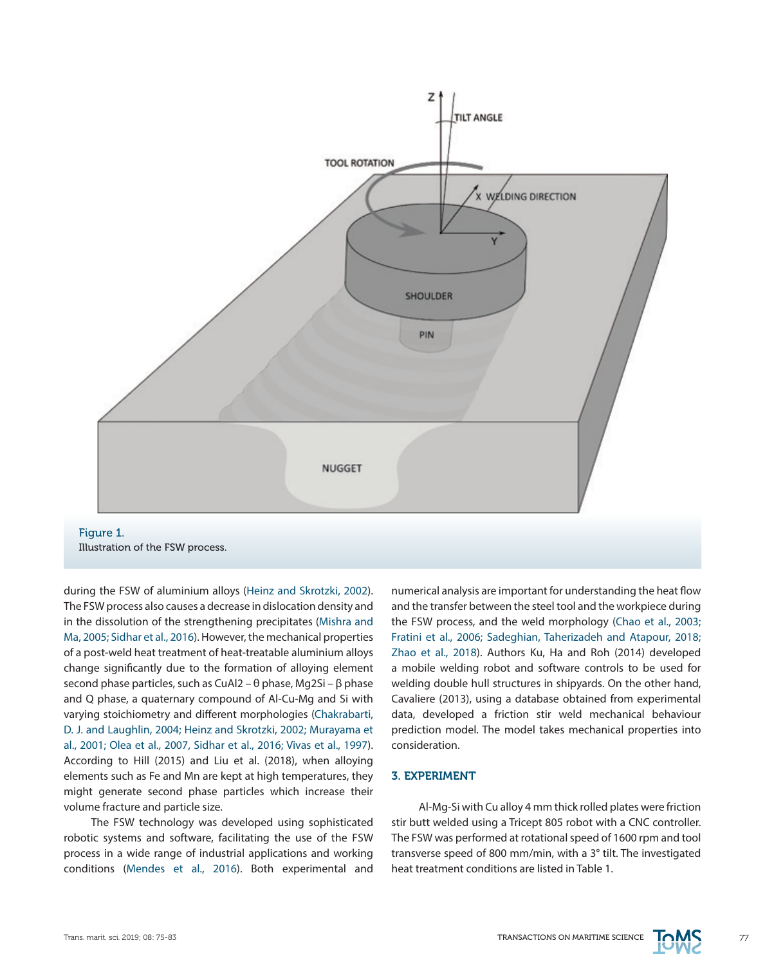

during the FSW of aluminium alloys (Heinz and Skrotzki, 2002). The FSW process also causes a decrease in dislocation density and in the dissolution of the strengthening precipitates (Mishra and Ma, 2005; Sidhar et al., 2016). However, the mechanical properties of a post-weld heat treatment of heat-treatable aluminium alloys change significantly due to the formation of alloying element second phase particles, such as CuAl2 – θ phase, Mg2Si – β phase and Q phase, a quaternary compound of Al-Cu-Mg and Si with varying stoichiometry and different morphologies (Chakrabarti, D. J. and Laughlin, 2004; Heinz and Skrotzki, 2002; Murayama et al., 2001; Olea et al., 2007, Sidhar et al., 2016; Vivas et al., 1997). According to Hill (2015) and Liu et al. (2018), when alloying elements such as Fe and Mn are kept at high temperatures, they might generate second phase particles which increase their volume fracture and particle size.

The FSW technology was developed using sophisticated robotic systems and software, facilitating the use of the FSW process in a wide range of industrial applications and working conditions (Mendes et al., 2016). Both experimental and numerical analysis are important for understanding the heat flow and the transfer between the steel tool and the workpiece during the FSW process, and the weld morphology (Chao et al., 2003; Fratini et al., 2006; Sadeghian, Taherizadeh and Atapour, 2018; Zhao et al., 2018). Authors Ku, Ha and Roh (2014) developed a mobile welding robot and software controls to be used for welding double hull structures in shipyards. On the other hand, Cavaliere (2013), using a database obtained from experimental data, developed a friction stir weld mechanical behaviour prediction model. The model takes mechanical properties into consideration.

## 3. EXPERIMENT

Al-Mg-Si with Cu alloy 4 mm thick rolled plates were friction stir butt welded using a Tricept 805 robot with a CNC controller. The FSW was performed at rotational speed of 1600 rpm and tool transverse speed of 800 mm/min, with a 3° tilt. The investigated heat treatment conditions are listed in Table 1.

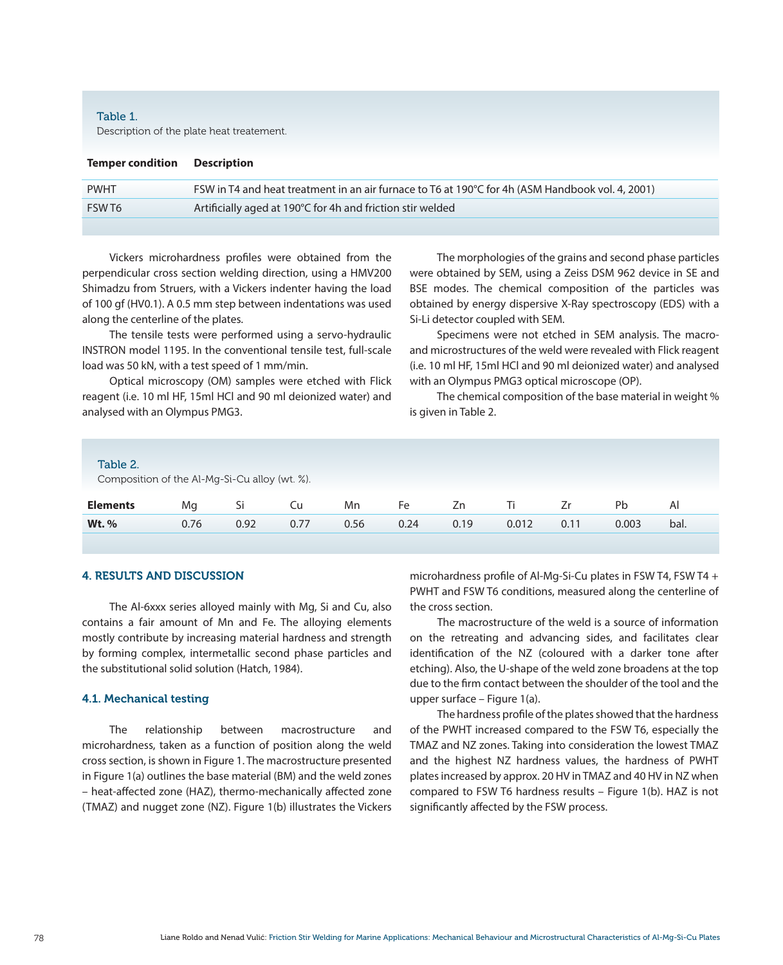# Table 1. Description of the plate heat treatement.

| <b>Temper condition</b> Description |                                                                                                  |
|-------------------------------------|--------------------------------------------------------------------------------------------------|
| <b>PWHT</b>                         | FSW in T4 and heat treatment in an air furnace to T6 at 190°C for 4h (ASM Handbook vol. 4, 2001) |
| FSWT6                               | Artificially aged at 190°C for 4h and friction stir welded                                       |
|                                     |                                                                                                  |

Vickers microhardness profiles were obtained from the perpendicular cross section welding direction, using a HMV200 Shimadzu from Struers, with a Vickers indenter having the load of 100 gf (HV0.1). A 0.5 mm step between indentations was used along the centerline of the plates.

The tensile tests were performed using a servo-hydraulic INSTRON model 1195. In the conventional tensile test, full-scale load was 50 kN, with a test speed of 1 mm/min.

Optical microscopy (OM) samples were etched with Flick reagent (i.e. 10 ml HF, 15ml HCl and 90 ml deionized water) and analysed with an Olympus PMG3.

The morphologies of the grains and second phase particles were obtained by SEM, using a Zeiss DSM 962 device in SE and BSE modes. The chemical composition of the particles was obtained by energy dispersive X-Ray spectroscopy (EDS) with a Si-Li detector coupled with SEM.

Specimens were not etched in SEM analysis. The macroand microstructures of the weld were revealed with Flick reagent (i.e. 10 ml HF, 15ml HCl and 90 ml deionized water) and analysed with an Olympus PMG3 optical microscope (OP).

The chemical composition of the base material in weight % is given in Table 2.

#### Table 2.

Composition of the Al-Mg-Si-Cu alloy (wt. %).

| <b>Elements</b> | Ma   | Ы    | Mn   | Fe   | Zn   |       |      | Pb    | Al   |
|-----------------|------|------|------|------|------|-------|------|-------|------|
| <b>Wt.</b> %    | 0.76 | 0.92 | 0.56 | 0.24 | 0.19 | 0.012 | 0.11 | 0.003 | bal. |

# 4. RESULTS AND DISCUSSION

The Al-6xxx series alloyed mainly with Mg, Si and Cu, also contains a fair amount of Mn and Fe. The alloying elements mostly contribute by increasing material hardness and strength by forming complex, intermetallic second phase particles and the substitutional solid solution (Hatch, 1984).

#### 4.1. Mechanical testing

The relationship between macrostructure and microhardness, taken as a function of position along the weld cross section, is shown in Figure 1. The macrostructure presented in Figure 1(a) outlines the base material (BM) and the weld zones – heat-affected zone (HAZ), thermo-mechanically affected zone (TMAZ) and nugget zone (NZ). Figure 1(b) illustrates the Vickers microhardness profile of Al-Mg-Si-Cu plates in FSW T4, FSW T4 + PWHT and FSW T6 conditions, measured along the centerline of the cross section.

The macrostructure of the weld is a source of information on the retreating and advancing sides, and facilitates clear identification of the NZ (coloured with a darker tone after etching). Also, the U-shape of the weld zone broadens at the top due to the firm contact between the shoulder of the tool and the upper surface – Figure 1(a).

The hardness profile of the plates showed that the hardness of the PWHT increased compared to the FSW T6, especially the TMAZ and NZ zones. Taking into consideration the lowest TMAZ and the highest NZ hardness values, the hardness of PWHT plates increased by approx. 20 HV in TMAZ and 40 HV in NZ when compared to FSW T6 hardness results – Figure 1(b). HAZ is not significantly affected by the FSW process.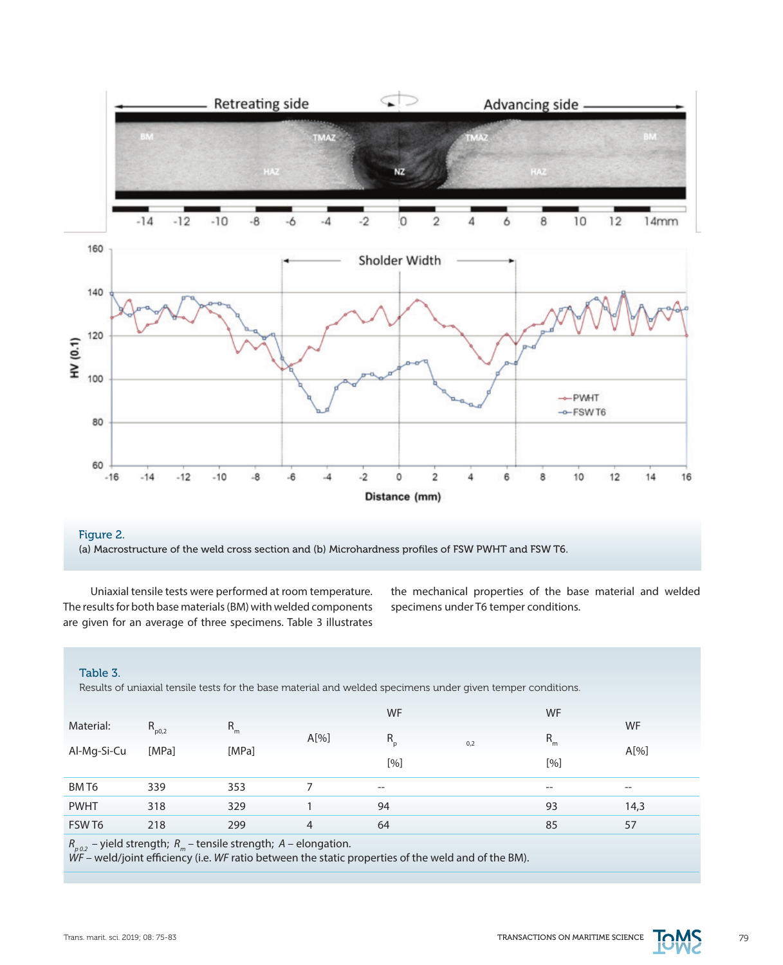

# Figure 2. (a) Macrostructure of the weld cross section and (b) Microhardness profiles of FSW PWHT and FSW T6.

Uniaxial tensile tests were performed at room temperature. The results for both base materials (BM) with welded components are given for an average of three specimens. Table 3 illustrates

the mechanical properties of the base material and welded specimens under T6 temper conditions.

## Table 3.

Results of uniaxial tensile tests for the base material and welded specimens under given temper conditions.

|                                                                   |            |         |                | WF      |     | <b>WF</b> |                                     |  |  |
|-------------------------------------------------------------------|------------|---------|----------------|---------|-----|-----------|-------------------------------------|--|--|
| Material:                                                         | $R_{p0,2}$ | $R_{m}$ | A[%]           | $R_{p}$ |     | $R_{m}$   | <b>WF</b>                           |  |  |
| Al-Mg-Si-Cu                                                       | [MPa]      | [MPa]   |                |         | 0,2 |           | A[%]                                |  |  |
|                                                                   |            |         |                | [%]     |     | [%]       |                                     |  |  |
| BM T6                                                             | 339        | 353     |                | $-\!$   |     | $- -$     | $\hspace{0.05cm}$ $\hspace{0.05cm}$ |  |  |
| <b>PWHT</b>                                                       | 318        | 329     |                | 94      |     | 93        | 14,3                                |  |  |
| FSW T6                                                            | 218        | 299     | $\overline{4}$ | 64      |     | 85        | 57                                  |  |  |
| R<br>$-$ vield strength: $R =$ tensile strength: $A =$ elongation |            |         |                |         |     |           |                                     |  |  |

*Rp 0.2* – yield strength; *Rm* – tensile strength; *A* – elongation.

*WF* – weld/joint efficiency (i.e. *WF* ratio between the static properties of the weld and of the BM).

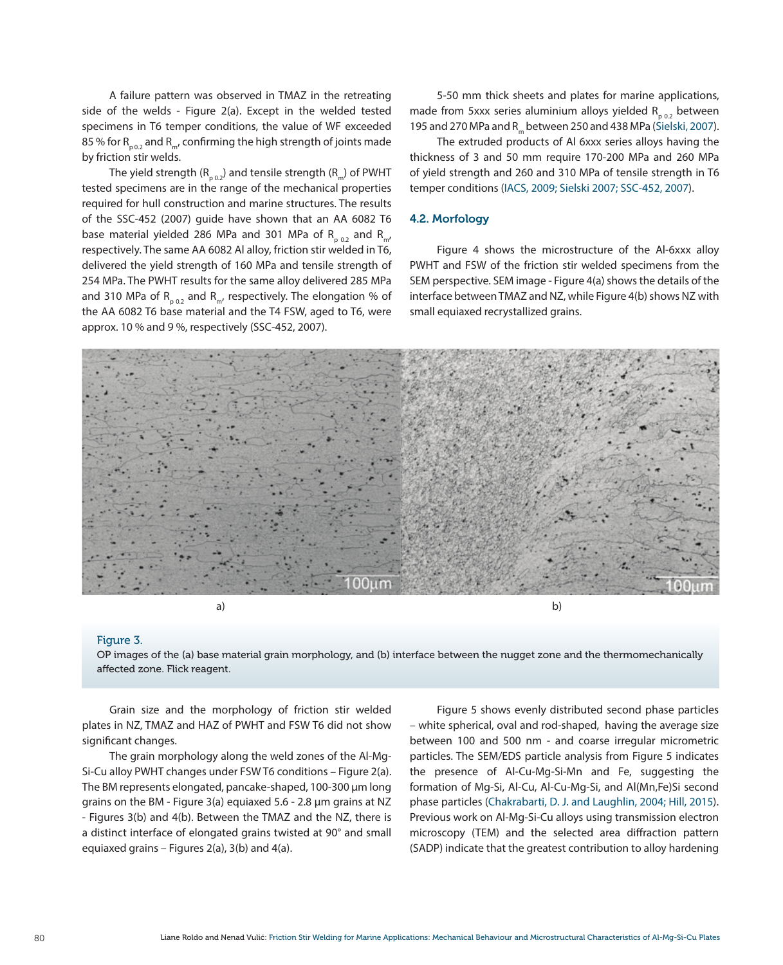A failure pattern was observed in TMAZ in the retreating side of the welds - Figure 2(a). Except in the welded tested specimens in T6 temper conditions, the value of WF exceeded 85 % for  $R_{p02}$  and  $R_{m}$ , confirming the high strength of joints made by friction stir welds.

The yield strength ( $R_{p,0,2}$ ) and tensile strength ( $R_{m}$ ) of PWHT tested specimens are in the range of the mechanical properties required for hull construction and marine structures. The results of the SSC-452 (2007) guide have shown that an AA 6082 T6 base material yielded 286 MPa and 301 MPa of R<sub>p 0.2</sub> and R<sub>m</sub>, respectively. The same AA 6082 Al alloy, friction stir welded in T6, delivered the yield strength of 160 MPa and tensile strength of 254 MPa. The PWHT results for the same alloy delivered 285 MPa and 310 MPa of  $R_{p_{0.2}}$  and  $R_{m'}$  respectively. The elongation % of the AA 6082 T6 base material and the T4 FSW, aged to T6, were approx. 10 % and 9 %, respectively (SSC-452, 2007).

5-50 mm thick sheets and plates for marine applications, made from 5xxx series aluminium alloys yielded  $R_{p,0,2}$  between 195 and 270 MPa and R<sub>m</sub> between 250 and 438 MPa (Sielski, 2007).

The extruded products of Al 6xxx series alloys having the thickness of 3 and 50 mm require 170-200 MPa and 260 MPa of yield strength and 260 and 310 MPa of tensile strength in T6 temper conditions (IACS, 2009; Sielski 2007; SSC-452, 2007).

# 4.2. Morfology

Figure 4 shows the microstructure of the Al-6xxx alloy PWHT and FSW of the friction stir welded specimens from the SEM perspective. SEM image - Figure 4(a) shows the details of the interface between TMAZ and NZ, while Figure 4(b) shows NZ with small equiaxed recrystallized grains.



#### Figure 3.

OP images of the (a) base material grain morphology, and (b) interface between the nugget zone and the thermomechanically affected zone. Flick reagent.

Grain size and the morphology of friction stir welded plates in NZ, TMAZ and HAZ of PWHT and FSW T6 did not show significant changes.

The grain morphology along the weld zones of the Al-Mg-Si-Cu alloy PWHT changes under FSW T6 conditions – Figure 2(a). The BM represents elongated, pancake-shaped, 100-300 μm long grains on the BM - Figure 3(a) equiaxed 5.6 - 2.8 μm grains at NZ - Figures 3(b) and 4(b). Between the TMAZ and the NZ, there is a distinct interface of elongated grains twisted at 90° and small equiaxed grains – Figures 2(a), 3(b) and 4(a).

Figure 5 shows evenly distributed second phase particles – white spherical, oval and rod-shaped, having the average size between 100 and 500 nm - and coarse irregular micrometric particles. The SEM/EDS particle analysis from Figure 5 indicates the presence of Al-Cu-Mg-Si-Mn and Fe, suggesting the formation of Mg-Si, Al-Cu, Al-Cu-Mg-Si, and Al(Mn,Fe)Si second phase particles (Chakrabarti, D. J. and Laughlin, 2004; Hill, 2015). Previous work on Al-Mg-Si-Cu alloys using transmission electron microscopy (TEM) and the selected area diffraction pattern (SADP) indicate that the greatest contribution to alloy hardening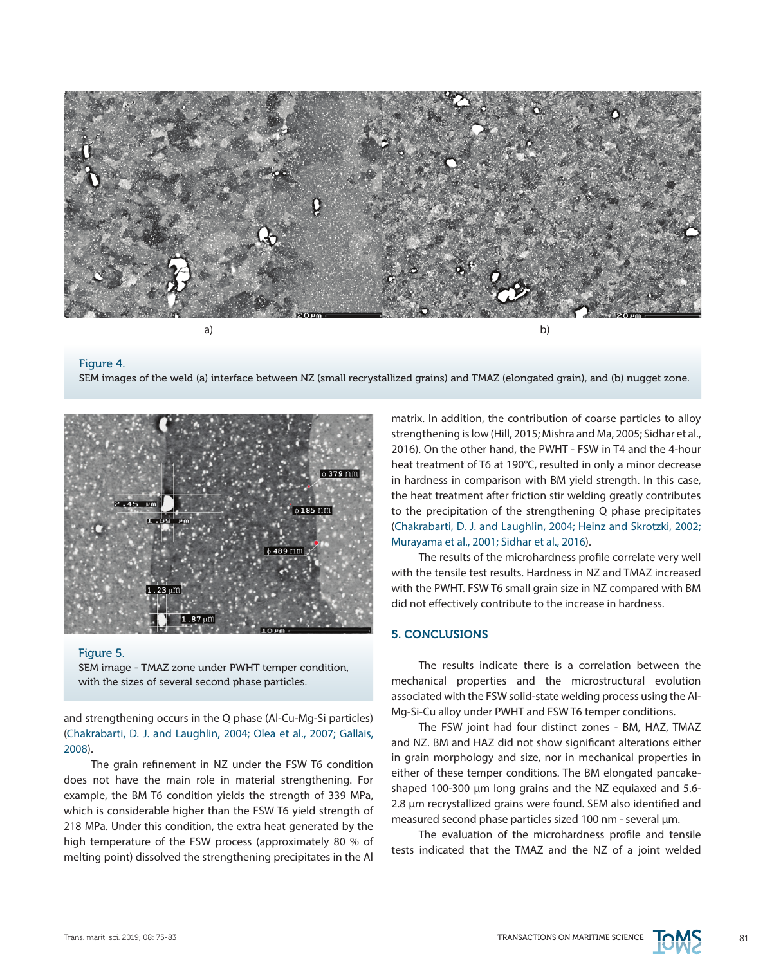

#### Figure 4. SEM images of the weld (a) interface between NZ (small recrystallized grains) and TMAZ (elongated grain), and (b) nugget zone.



#### Figure 5.

SEM image - TMAZ zone under PWHT temper condition, with the sizes of several second phase particles.

and strengthening occurs in the Q phase (Al-Cu-Mg-Si particles) (Chakrabarti, D. J. and Laughlin, 2004; Olea et al., 2007; Gallais, 2008).

The grain refinement in NZ under the FSW T6 condition does not have the main role in material strengthening. For example, the BM T6 condition yields the strength of 339 MPa, which is considerable higher than the FSW T6 yield strength of 218 MPa. Under this condition, the extra heat generated by the high temperature of the FSW process (approximately 80 % of melting point) dissolved the strengthening precipitates in the Al

matrix. In addition, the contribution of coarse particles to alloy strengthening is low (Hill, 2015; Mishra and Ma, 2005; Sidhar et al., 2016). On the other hand, the PWHT - FSW in T4 and the 4-hour heat treatment of T6 at 190°C, resulted in only a minor decrease in hardness in comparison with BM yield strength. In this case, the heat treatment after friction stir welding greatly contributes to the precipitation of the strengthening Q phase precipitates (Chakrabarti, D. J. and Laughlin, 2004; Heinz and Skrotzki, 2002; Murayama et al., 2001; Sidhar et al., 2016).

The results of the microhardness profile correlate very well with the tensile test results. Hardness in NZ and TMAZ increased with the PWHT. FSW T6 small grain size in NZ compared with BM did not effectively contribute to the increase in hardness.

# 5. CONCLUSIONS

The results indicate there is a correlation between the mechanical properties and the microstructural evolution associated with the FSW solid-state welding process using the Al-Mg-Si-Cu alloy under PWHT and FSW T6 temper conditions.

The FSW joint had four distinct zones - BM, HAZ, TMAZ and NZ. BM and HAZ did not show significant alterations either in grain morphology and size, nor in mechanical properties in either of these temper conditions. The BM elongated pancakeshaped 100-300 μm long grains and the NZ equiaxed and 5.6- 2.8 µm recrystallized grains were found. SEM also identified and measured second phase particles sized 100 nm - several µm.

The evaluation of the microhardness profile and tensile tests indicated that the TMAZ and the NZ of a joint welded

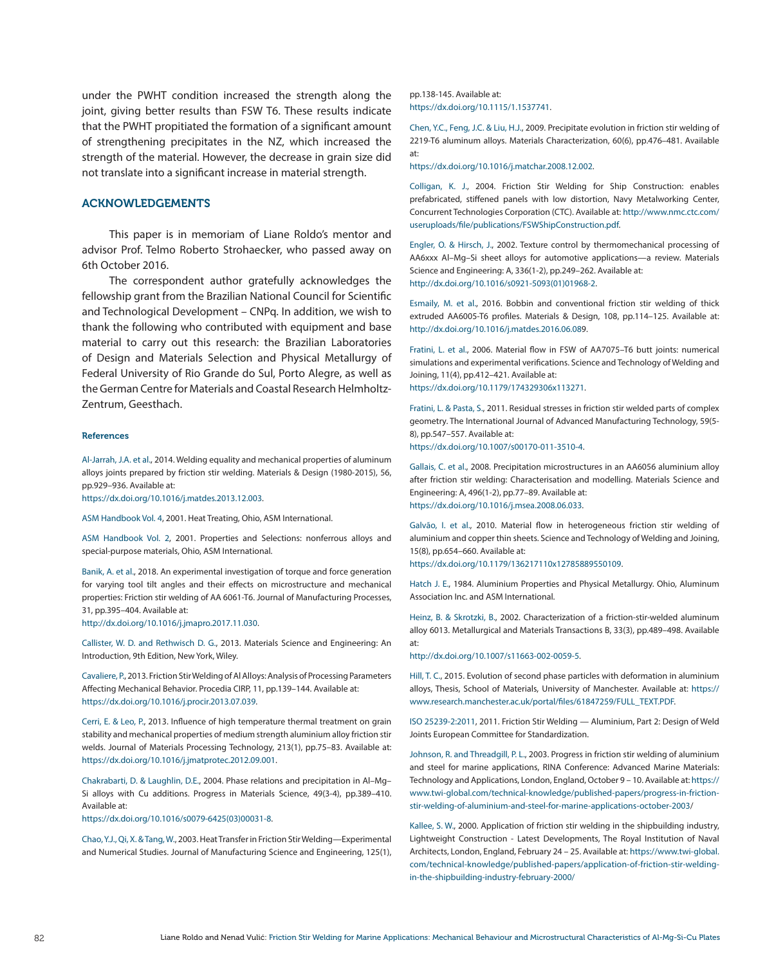under the PWHT condition increased the strength along the joint, giving better results than FSW T6. These results indicate that the PWHT propitiated the formation of a significant amount of strengthening precipitates in the NZ, which increased the strength of the material. However, the decrease in grain size did not translate into a significant increase in material strength.

## ACKNOWLEDGEMENTS

This paper is in memoriam of Liane Roldo's mentor and advisor Prof. Telmo Roberto Strohaecker, who passed away on 6th October 2016.

The correspondent author gratefully acknowledges the fellowship grant from the Brazilian National Council for Scientific and Technological Development – CNPq. In addition, we wish to thank the following who contributed with equipment and base material to carry out this research: the Brazilian Laboratories of Design and Materials Selection and Physical Metallurgy of Federal University of Rio Grande do Sul, Porto Alegre, as well as the German Centre for Materials and Coastal Research Helmholtz-Zentrum, Geesthach.

#### References

Al-Jarrah, J.A. et al., 2014. Welding equality and mechanical properties of aluminum alloys joints prepared by friction stir welding. Materials & Design (1980-2015), 56, pp.929–936. Available at:

[https://dx.doi.org/10.1016/j.matdes.2013.12.003.](https://dx.doi.org/10.1016/j.matdes.2013.12.003)

ASM Handbook Vol. 4, 2001. Heat Treating, Ohio, ASM International.

ASM Handbook Vol. 2, 2001. Properties and Selections: nonferrous alloys and special-purpose materials, Ohio, ASM International.

Banik, A. et al., 2018. An experimental investigation of torque and force generation for varying tool tilt angles and their effects on microstructure and mechanical properties: Friction stir welding of AA 6061-T6. Journal of Manufacturing Processes, 31, pp.395–404. Available at: <http://dx.doi.org/10.1016/j.jmapro.2017.11.030>.

Callister, W. D. and Rethwisch D. G., 2013. Materials Science and Engineering: An Introduction, 9th Edition, New York, Wiley.

Cavaliere, P., 2013. Friction Stir Welding of Al Alloys: Analysis of Processing Parameters Affecting Mechanical Behavior. Procedia CIRP, 11, pp.139–144. Available at: <https://dx.doi.org/10.1016/j.procir.2013.07.039>.

Cerri, E. & Leo, P., 2013. Influence of high temperature thermal treatment on grain stability and mechanical properties of medium strength aluminium alloy friction stir welds. Journal of Materials Processing Technology, 213(1), pp.75–83. Available at: <https://dx.doi.org/10.1016/j.jmatprotec.2012.09.001>.

Chakrabarti, D. & Laughlin, D.E., 2004. Phase relations and precipitation in Al–Mg– Si alloys with Cu additions. Progress in Materials Science, 49(3-4), pp.389–410. Available at:

[https://dx.doi.org/10.1016/s0079-6425\(03\)00031-8](https://dx.doi.org/10.1016/s0079-6425%2803%2900031-8).

Chao, Y.J., Qi, X. & Tang, W., 2003. Heat Transfer in Friction Stir Welding—Experimental and Numerical Studies. Journal of Manufacturing Science and Engineering, 125(1), pp.138-145. Available at: [https://dx.doi.org/10.1115/1.1537741.](https://dx.doi.org/10.1115/1.1537741)

Chen, Y.C., Feng, J.C. & Liu, H.J., 2009. Precipitate evolution in friction stir welding of 2219-T6 aluminum alloys. Materials Characterization, 60(6), pp.476–481. Available at:

[https://dx.doi.org/10.1016/j.matchar.2008.12.002](https://dx.doi.org/10.1115/1.1537741).

Colligan, K. J., 2004. Friction Stir Welding for Ship Construction: enables prefabricated, stiffened panels with low distortion, Navy Metalworking Center, Concurrent Technologies Corporation (CTC). Available at: [http://www.nmc.ctc.com/](http://www.nmc.ctc.com/useruploads/file/publications/FSWShipConstruction.pdf) [useruploads/file/publications/FSWShipConstruction.pdf.](http://www.nmc.ctc.com/useruploads/file/publications/FSWShipConstruction.pdf)

Engler, O. & Hirsch, J., 2002. Texture control by thermomechanical processing of AA6xxx Al–Mg–Si sheet alloys for automotive applications—a review. Materials Science and Engineering: A, 336(1-2), pp.249–262. Available at: [http://dx.doi.org/10.1016/s0921-5093\(01\)01968-2](http://dx.doi.org/10.1016/s0921-5093%2801%2901968-2).

Esmaily, M. et al., 2016. Bobbin and conventional friction stir welding of thick extruded AA6005-T6 profiles. Materials & Design, 108, pp.114–125. Available at: [http://dx.doi.org/10.1016/j.matdes.2016.06.089](http://dx.doi.org/10.1016/j.matdes.2016.06.08).

Fratini, L. et al., 2006. Material flow in FSW of AA7075–T6 butt joints: numerical simulations and experimental verifications. Science and Technology of Welding and Joining, 11(4), pp.412–421. Available at: [https://dx.doi.org/10.1179/174329306x113271.](https://dx.doi.org/10.1179/174329306x113271)

Fratini, L. & Pasta, S., 2011. Residual stresses in friction stir welded parts of complex geometry. The International Journal of Advanced Manufacturing Technology, 59(5- 8), pp.547–557. Available at:

[https://dx.doi.org/10.1007/s00170-011-3510-4.](https://dx.doi.org/10.1007/s00170-011-3510-4)

Gallais, C. et al., 2008. Precipitation microstructures in an AA6056 aluminium alloy after friction stir welding: Characterisation and modelling. Materials Science and Engineering: A, 496(1-2), pp.77–89. Available at: [https://dx.doi.org/10.1016/j.msea.2008.06.033.](https://dx.doi.org/10.1016/j.msea.2008.06.033)

Galvão, I. et al., 2010. Material flow in heterogeneous friction stir welding of aluminium and copper thin sheets. Science and Technology of Welding and Joining, 15(8), pp.654–660. Available at: [https://dx.doi.org/10.1179/136217110x12785889550109.](https://dx.doi.org/10.1016/j.msea.2008.06.033)

Hatch J. E., 1984. Aluminium Properties and Physical Metallurgy. Ohio, Aluminum Association Inc. and ASM International.

Heinz, B. & Skrotzki, B., 2002. Characterization of a friction-stir-welded aluminum alloy 6013. Metallurgical and Materials Transactions B, 33(3), pp.489–498. Available at:

[http://dx.doi.org/10.1007/s11663-002-0059-5.](http://dx.doi.org/10.1007/s11663-002-0059-5)

Hill, T. C., 2015. Evolution of second phase particles with deformation in aluminium alloys, Thesis, School of Materials, University of Manchester. Available at: [https://](https://www.research.manchester.ac.uk/portal/files/61847259/FULL_TEXT.PDF) [www.research.manchester.ac.uk/portal/files/61847259/FULL\\_TEXT.PDF.](https://www.research.manchester.ac.uk/portal/files/61847259/FULL_TEXT.PDF)

ISO 25239-2:2011, 2011. Friction Stir Welding — Aluminium, Part 2: Design of Weld Joints European Committee for Standardization.

Johnson, R. and Threadgill, P. L., 2003. Progress in friction stir welding of aluminium and steel for marine applications, RINA Conference: Advanced Marine Materials: Technology and Applications, London, England, October 9 – 10. Available at: [https://](https://www.twi-global.com/technical-knowledge/published-papers/progress-in-friction-stir-welding-of-aluminium-and-steel-for-marine-applications-october-2003) [www.twi-global.com/technical-knowledge/published-papers/progress-in-friction](https://www.twi-global.com/technical-knowledge/published-papers/progress-in-friction-stir-welding-of-aluminium-and-steel-for-marine-applications-october-2003)[stir-welding-of-aluminium-and-steel-for-marine-applications-october-2003](https://www.twi-global.com/technical-knowledge/published-papers/progress-in-friction-stir-welding-of-aluminium-and-steel-for-marine-applications-october-2003)/

Kallee, S. W., 2000. Application of friction stir welding in the shipbuilding industry, Lightweight Construction - Latest Developments, The Royal Institution of Naval Architects, London, England, February 24 – 25. Available at: [https://www.twi-global.](https://www.twi-global.com/technical-knowledge/published-papers/application-of-friction-stir-welding-in-the-shipbuilding-industry-february-2000/) [com/technical-knowledge/published-papers/application-of-friction-stir-welding](https://www.twi-global.com/technical-knowledge/published-papers/application-of-friction-stir-welding-in-the-shipbuilding-industry-february-2000/)[in-the-shipbuilding-industry-february-2000/](https://www.twi-global.com/technical-knowledge/published-papers/application-of-friction-stir-welding-in-the-shipbuilding-industry-february-2000/)